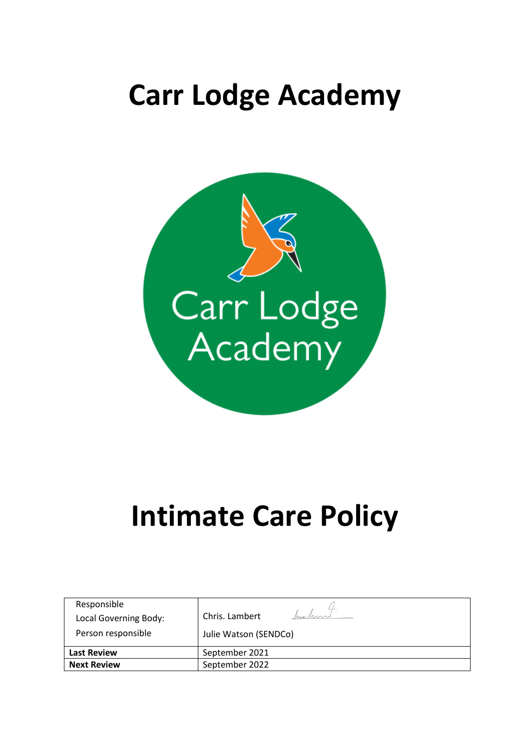## **Carr Lodge Academy**



# **Intimate Care Policy**

| Responsible<br>Local Governing Body:<br>Person responsible | Chris. Lambert<br>hu hund<br>Julie Watson (SENDCo) |
|------------------------------------------------------------|----------------------------------------------------|
| <b>Last Review</b>                                         | September 2021                                     |
| <b>Next Review</b>                                         | September 2022                                     |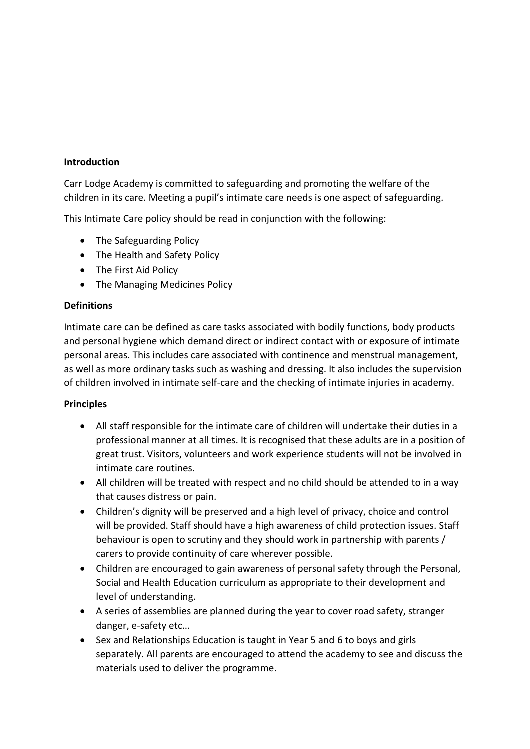#### **Introduction**

Carr Lodge Academy is committed to safeguarding and promoting the welfare of the children in its care. Meeting a pupil's intimate care needs is one aspect of safeguarding.

This Intimate Care policy should be read in conjunction with the following:

- The Safeguarding Policy
- The Health and Safety Policy
- The First Aid Policy
- The Managing Medicines Policy

#### **Definitions**

Intimate care can be defined as care tasks associated with bodily functions, body products and personal hygiene which demand direct or indirect contact with or exposure of intimate personal areas. This includes care associated with continence and menstrual management, as well as more ordinary tasks such as washing and dressing. It also includes the supervision of children involved in intimate self-care and the checking of intimate injuries in academy.

#### **Principles**

- All staff responsible for the intimate care of children will undertake their duties in a professional manner at all times. It is recognised that these adults are in a position of great trust. Visitors, volunteers and work experience students will not be involved in intimate care routines.
- All children will be treated with respect and no child should be attended to in a way that causes distress or pain.
- Children's dignity will be preserved and a high level of privacy, choice and control will be provided. Staff should have a high awareness of child protection issues. Staff behaviour is open to scrutiny and they should work in partnership with parents / carers to provide continuity of care wherever possible.
- Children are encouraged to gain awareness of personal safety through the Personal, Social and Health Education curriculum as appropriate to their development and level of understanding.
- A series of assemblies are planned during the year to cover road safety, stranger danger, e-safety etc…
- Sex and Relationships Education is taught in Year 5 and 6 to boys and girls separately. All parents are encouraged to attend the academy to see and discuss the materials used to deliver the programme.